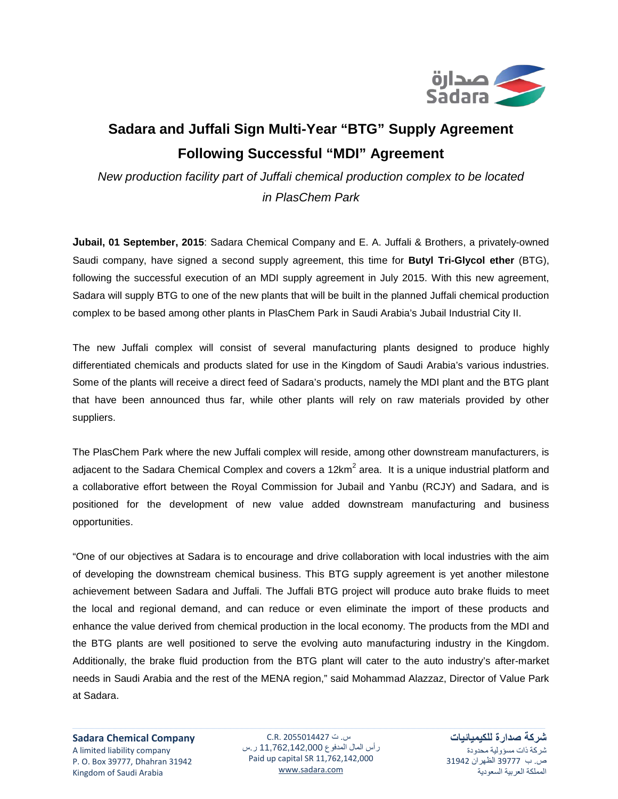

## **Sadara and Juffali Sign Multi-Year "BTG" Supply Agreement Following Successful "MDI" Agreement**

*New production facility part of Juffali chemical production complex to be located in PlasChem Park*

**Jubail, 01 September, 2015**: Sadara Chemical Company and E. A. Juffali & Brothers, a privately-owned Saudi company, have signed a second supply agreement, this time for **Butyl Tri-Glycol ether** (BTG), following the successful execution of an MDI supply agreement in July 2015. With this new agreement, Sadara will supply BTG to one of the new plants that will be built in the planned Juffali chemical production complex to be based among other plants in PlasChem Park in Saudi Arabia's Jubail Industrial City II.

The new Juffali complex will consist of several manufacturing plants designed to produce highly differentiated chemicals and products slated for use in the Kingdom of Saudi Arabia's various industries. Some of the plants will receive a direct feed of Sadara's products, namely the MDI plant and the BTG plant that have been announced thus far, while other plants will rely on raw materials provided by other suppliers.

The PlasChem Park where the new Juffali complex will reside, among other downstream manufacturers, is adjacent to the Sadara Chemical Complex and covers a 12 $km^2$  area. It is a unique industrial platform and a collaborative effort between the Royal Commission for Jubail and Yanbu (RCJY) and Sadara, and is positioned for the development of new value added downstream manufacturing and business opportunities.

"One of our objectives at Sadara is to encourage and drive collaboration with local industries with the aim of developing the downstream chemical business. This BTG supply agreement is yet another milestone achievement between Sadara and Juffali. The Juffali BTG project will produce auto brake fluids to meet the local and regional demand, and can reduce or even eliminate the import of these products and enhance the value derived from chemical production in the local economy. The products from the MDI and the BTG plants are well positioned to serve the evolving auto manufacturing industry in the Kingdom. Additionally, the brake fluid production from the BTG plant will cater to the auto industry's after-market needs in Saudi Arabia and the rest of the MENA region," said Mohammad Alazzaz, Director of Value Park at Sadara.

**Sadara Chemical Company** A limited liability company P. O. Box 39777, Dhahran 31942 Kingdom of Saudi Arabia

س. ت 2055014427 .R.C رأس المال المدفوع 11,762,142,000 ر.س Paid up capital SR 11,762,142,000 [www.sadara.com](http://www.sadara.com/)

**شركة صدارة للكيميائيات** شركة ذات مسؤولية محدودة ص. ب 39777 الظهران 31942 المملكة العربية السعودية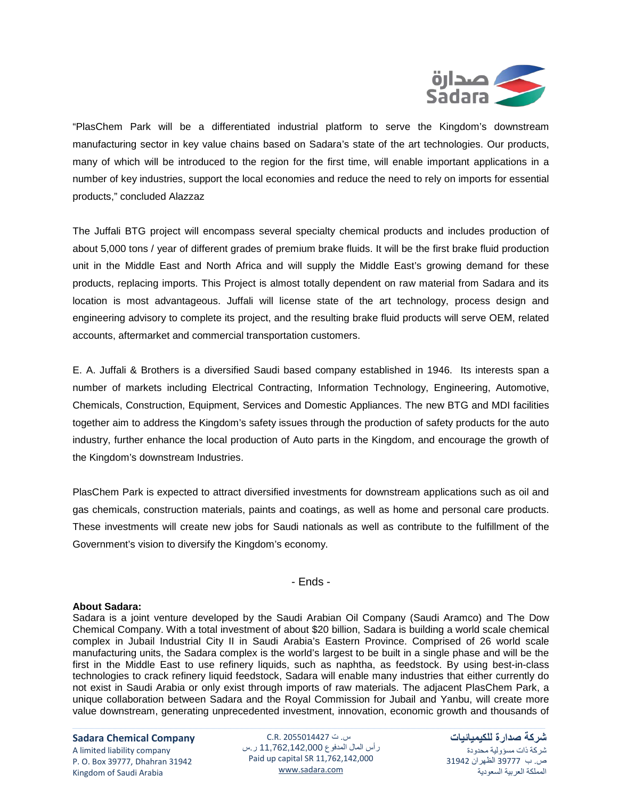

"PlasChem Park will be a differentiated industrial platform to serve the Kingdom's downstream manufacturing sector in key value chains based on Sadara's state of the art technologies. Our products, many of which will be introduced to the region for the first time, will enable important applications in a number of key industries, support the local economies and reduce the need to rely on imports for essential products," concluded Alazzaz

The Juffali BTG project will encompass several specialty chemical products and includes production of about 5,000 tons / year of different grades of premium brake fluids. It will be the first brake fluid production unit in the Middle East and North Africa and will supply the Middle East's growing demand for these products, replacing imports. This Project is almost totally dependent on raw material from Sadara and its location is most advantageous. Juffali will license state of the art technology, process design and engineering advisory to complete its project, and the resulting brake fluid products will serve OEM, related accounts, aftermarket and commercial transportation customers.

E. A. Juffali & Brothers is a diversified Saudi based company established in 1946. Its interests span a number of markets including Electrical Contracting, Information Technology, Engineering, Automotive, Chemicals, Construction, Equipment, Services and Domestic Appliances. The new BTG and MDI facilities together aim to address the Kingdom's safety issues through the production of safety products for the auto industry, further enhance the local production of Auto parts in the Kingdom, and encourage the growth of the Kingdom's downstream Industries.

PlasChem Park is expected to attract diversified investments for downstream applications such as oil and gas chemicals, construction materials, paints and coatings, as well as home and personal care products. These investments will create new jobs for Saudi nationals as well as contribute to the fulfillment of the Government's vision to diversify the Kingdom's economy.

- Ends -

## **About Sadara:**

Sadara is a joint venture developed by the Saudi Arabian Oil Company (Saudi Aramco) and The Dow Chemical Company. With a total investment of about \$20 billion, Sadara is building a world scale chemical complex in Jubail Industrial City II in Saudi Arabia's Eastern Province. Comprised of 26 world scale manufacturing units, the Sadara complex is the world's largest to be built in a single phase and will be the first in the Middle East to use refinery liquids, such as naphtha, as feedstock. By using best-in-class technologies to crack refinery liquid feedstock, Sadara will enable many industries that either currently do not exist in Saudi Arabia or only exist through imports of raw materials. The adjacent PlasChem Park, a unique collaboration between Sadara and the Royal Commission for Jubail and Yanbu, will create more value downstream, generating unprecedented investment, innovation, economic growth and thousands of

**Sadara Chemical Company**

A limited liability company P. O. Box 39777, Dhahran 31942 Kingdom of Saudi Arabia

س. ت 2055014427 .R.C رأس المال المدفوع 11,762,142,000 ر.س Paid up capital SR 11,762,142,000 [www.sadara.com](http://www.sadara.com/)

**شركة صدارة للكيميائيات** شركة ذات مسؤولية محدودة ص. ب 39777 الظهران 31942 المملكة العربية السعودية